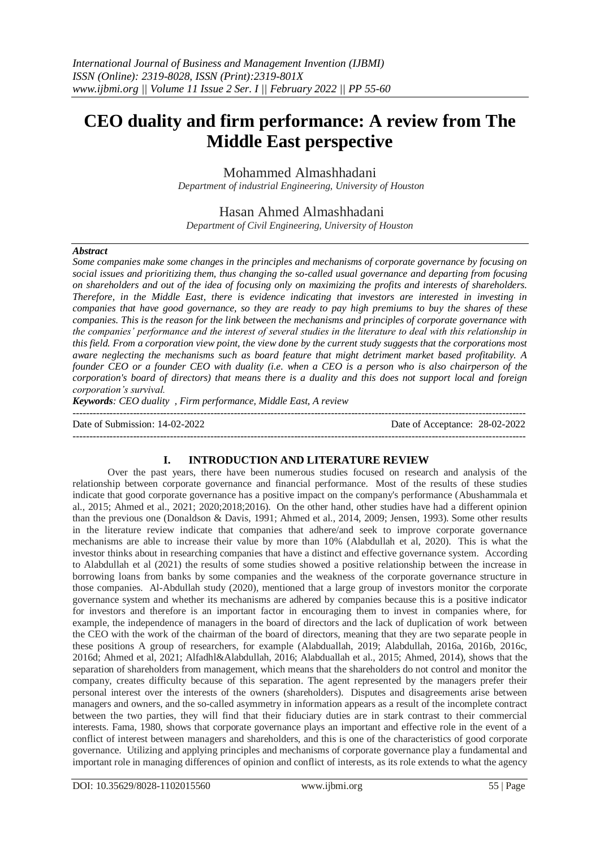# **CEO duality and firm performance: A review from The Middle East perspective**

Mohammed Almashhadani

*Department of industrial Engineering, University of Houston*

Hasan Ahmed Almashhadani *Department of Civil Engineering, University of Houston* 

#### *Abstract*

*Some companies make some changes in the principles and mechanisms of corporate governance by focusing on social issues and prioritizing them, thus changing the so-called usual governance and departing from focusing on shareholders and out of the idea of focusing only on maximizing the profits and interests of shareholders. Therefore, in the Middle East, there is evidence indicating that investors are interested in investing in companies that have good governance, so they are ready to pay high premiums to buy the shares of these companies. This is the reason for the link between the mechanisms and principles of corporate governance with the companies' performance and the interest of several studies in the literature to deal with this relationship in this field. From a corporation view point, the view done by the current study suggests that the corporations most aware neglecting the mechanisms such as board feature that might detriment market based profitability. A founder CEO or a founder CEO with duality (i.e. when a CEO is a person who is also chairperson of the corporation's board of directors) that means there is a duality and this does not support local and foreign corporation's survival.*

*Keywords: CEO duality , Firm performance, Middle East, A review*

--------------------------------------------------------------------------------------------------------------------------------------- Date of Submission: 14-02-2022 Date of Acceptance: 28-02-2022 ---------------------------------------------------------------------------------------------------------------------------------------

## **I. INTRODUCTION AND LITERATURE REVIEW**

 Over the past years, there have been numerous studies focused on research and analysis of the relationship between corporate governance and financial performance. Most of the results of these studies indicate that good corporate governance has a positive impact on the company's performance (Abushammala et al., 2015; Ahmed et al., 2021; 2020;2018;2016). On the other hand, other studies have had a different opinion than the previous one (Donaldson & Davis, 1991; Ahmed et al., 2014, 2009; Jensen, 1993). Some other results in the literature review indicate that companies that adhere/and seek to improve corporate governance mechanisms are able to increase their value by more than 10% (Alabdullah et al, 2020). This is what the investor thinks about in researching companies that have a distinct and effective governance system. According to Alabdullah et al (2021) the results of some studies showed a positive relationship between the increase in borrowing loans from banks by some companies and the weakness of the corporate governance structure in those companies. Al-Abdullah study (2020), mentioned that a large group of investors monitor the corporate governance system and whether its mechanisms are adhered by companies because this is a positive indicator for investors and therefore is an important factor in encouraging them to invest in companies where, for example, the independence of managers in the board of directors and the lack of duplication of work between the CEO with the work of the chairman of the board of directors, meaning that they are two separate people in these positions A group of researchers, for example (Alabduallah, 2019; Alabdullah, 2016a, 2016b, 2016c, 2016d; Ahmed et al, 2021; Alfadhl&Alabdullah, 2016; Alabduallah et al., 2015; Ahmed, 2014), shows that the separation of shareholders from management, which means that the shareholders do not control and monitor the company, creates difficulty because of this separation. The agent represented by the managers prefer their personal interest over the interests of the owners (shareholders). Disputes and disagreements arise between managers and owners, and the so-called asymmetry in information appears as a result of the incomplete contract between the two parties, they will find that their fiduciary duties are in stark contrast to their commercial interests. Fama, 1980, shows that corporate governance plays an important and effective role in the event of a conflict of interest between managers and shareholders, and this is one of the characteristics of good corporate governance. Utilizing and applying principles and mechanisms of corporate governance play a fundamental and important role in managing differences of opinion and conflict of interests, as its role extends to what the agency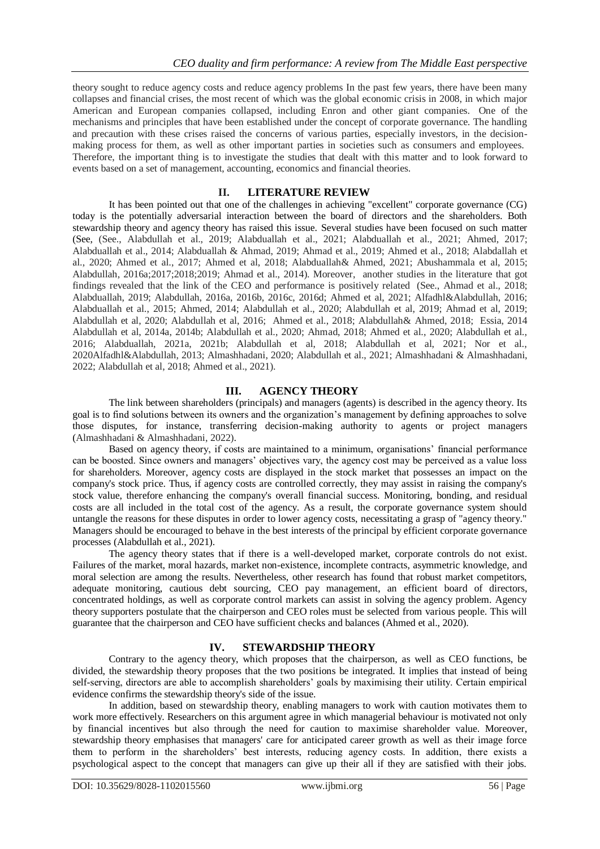theory sought to reduce agency costs and reduce agency problems In the past few years, there have been many collapses and financial crises, the most recent of which was the global economic crisis in 2008, in which major American and European companies collapsed, including Enron and other giant companies. One of the mechanisms and principles that have been established under the concept of corporate governance. The handling and precaution with these crises raised the concerns of various parties, especially investors, in the decisionmaking process for them, as well as other important parties in societies such as consumers and employees. Therefore, the important thing is to investigate the studies that dealt with this matter and to look forward to events based on a set of management, accounting, economics and financial theories.

## **II. LITERATURE REVIEW**

It has been pointed out that one of the challenges in achieving "excellent" corporate governance (CG) today is the potentially adversarial interaction between the board of directors and the shareholders. Both stewardship theory and agency theory has raised this issue. Several studies have been focused on such matter (See, (See., Alabdullah et al., 2019; Alabduallah et al., 2021; Alabduallah et al., 2021; Ahmed, 2017; Alabduallah et al., 2014; Alabduallah & Ahmad, 2019; Ahmad et al., 2019; Ahmed et al., 2018; Alabdallah et al., 2020; Ahmed et al., 2017; Ahmed et al, 2018; Alabduallah& Ahmed, 2021; Abushammala et al, 2015; Alabdullah, 2016a;2017;2018;2019; Ahmad et al., 2014). Moreover, another studies in the literature that got findings revealed that the link of the CEO and performance is positively related (See., Ahmad et al., 2018; Alabduallah, 2019; Alabdullah, 2016a, 2016b, 2016c, 2016d; Ahmed et al, 2021; Alfadhl&Alabdullah, 2016; Alabduallah et al., 2015; Ahmed, 2014; Alabdullah et al., 2020; Alabdullah et al, 2019; Ahmad et al, 2019; Alabdullah et al, 2020; Alabdullah et al, 2016; Ahmed et al., 2018; Alabdullah& Ahmed, 2018; Essia, 2014 Alabdullah et al, 2014a, 2014b; Alabdullah et al., 2020; Ahmad, 2018; Ahmed et al., 2020; Alabdullah et al., 2016; Alabduallah, 2021a, 2021b; Alabdullah et al, 2018; Alabdullah et al, 2021; Nor et al., 2020Alfadhl&Alabdullah, 2013; Almashhadani, 2020; Alabdullah et al., 2021; Almashhadani & Almashhadani, 2022; Alabdullah et al, 2018; Ahmed et al., 2021).

# **III. AGENCY THEORY**

The link between shareholders (principals) and managers (agents) is described in the agency theory. Its goal is to find solutions between its owners and the organization's management by defining approaches to solve those disputes, for instance, transferring decision-making authority to agents or project managers (Almashhadani & Almashhadani, 2022).

Based on agency theory, if costs are maintained to a minimum, organisations' financial performance can be boosted. Since owners and managers' objectives vary, the agency cost may be perceived as a value loss for shareholders. Moreover, agency costs are displayed in the stock market that possesses an impact on the company's stock price. Thus, if agency costs are controlled correctly, they may assist in raising the company's stock value, therefore enhancing the company's overall financial success. Monitoring, bonding, and residual costs are all included in the total cost of the agency. As a result, the corporate governance system should untangle the reasons for these disputes in order to lower agency costs, necessitating a grasp of "agency theory." Managers should be encouraged to behave in the best interests of the principal by efficient corporate governance processes (Alabdullah et al., 2021).

The agency theory states that if there is a well-developed market, corporate controls do not exist. Failures of the market, moral hazards, market non-existence, incomplete contracts, asymmetric knowledge, and moral selection are among the results. Nevertheless, other research has found that robust market competitors, adequate monitoring, cautious debt sourcing, CEO pay management, an efficient board of directors, concentrated holdings, as well as corporate control markets can assist in solving the agency problem. Agency theory supporters postulate that the chairperson and CEO roles must be selected from various people. This will guarantee that the chairperson and CEO have sufficient checks and balances (Ahmed et al., 2020).

## **IV. STEWARDSHIP THEORY**

Contrary to the agency theory, which proposes that the chairperson, as well as CEO functions, be divided, the stewardship theory proposes that the two positions be integrated. It implies that instead of being self-serving, directors are able to accomplish shareholders' goals by maximising their utility. Certain empirical evidence confirms the stewardship theory's side of the issue.

In addition, based on stewardship theory, enabling managers to work with caution motivates them to work more effectively. Researchers on this argument agree in which managerial behaviour is motivated not only by financial incentives but also through the need for caution to maximise shareholder value. Moreover, stewardship theory emphasises that managers' care for anticipated career growth as well as their image force them to perform in the shareholders' best interests, reducing agency costs. In addition, there exists a psychological aspect to the concept that managers can give up their all if they are satisfied with their jobs.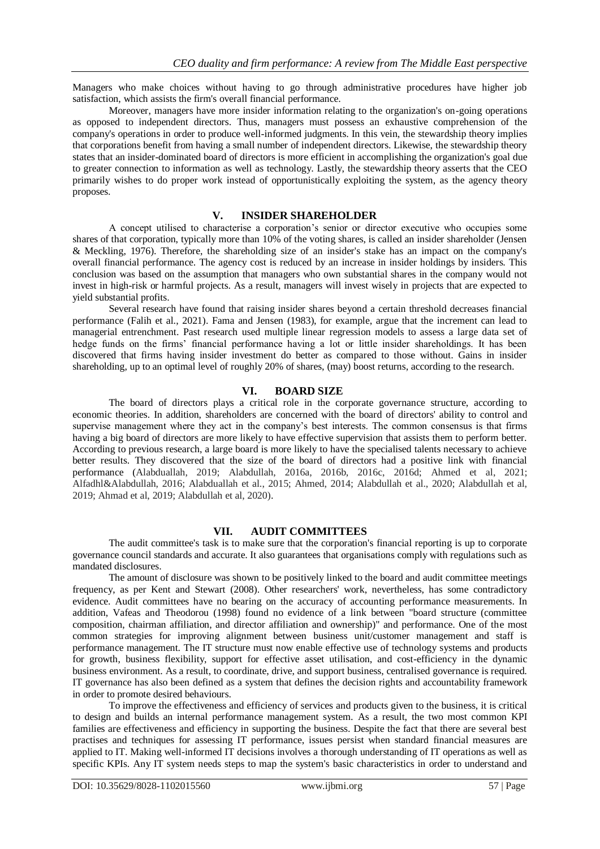Managers who make choices without having to go through administrative procedures have higher job satisfaction, which assists the firm's overall financial performance.

Moreover, managers have more insider information relating to the organization's on-going operations as opposed to independent directors. Thus, managers must possess an exhaustive comprehension of the company's operations in order to produce well-informed judgments. In this vein, the stewardship theory implies that corporations benefit from having a small number of independent directors. Likewise, the stewardship theory states that an insider-dominated board of directors is more efficient in accomplishing the organization's goal due to greater connection to information as well as technology. Lastly, the stewardship theory asserts that the CEO primarily wishes to do proper work instead of opportunistically exploiting the system, as the agency theory proposes.

### **V. INSIDER SHAREHOLDER**

A concept utilised to characterise a corporation's senior or director executive who occupies some shares of that corporation, typically more than 10% of the voting shares, is called an insider shareholder (Jensen & Meckling, 1976). Therefore, the shareholding size of an insider's stake has an impact on the company's overall financial performance. The agency cost is reduced by an increase in insider holdings by insiders. This conclusion was based on the assumption that managers who own substantial shares in the company would not invest in high-risk or harmful projects. As a result, managers will invest wisely in projects that are expected to yield substantial profits.

Several research have found that raising insider shares beyond a certain threshold decreases financial performance (Falih et al., 2021). Fama and Jensen (1983), for example, argue that the increment can lead to managerial entrenchment. Past research used multiple linear regression models to assess a large data set of hedge funds on the firms' financial performance having a lot or little insider shareholdings. It has been discovered that firms having insider investment do better as compared to those without. Gains in insider shareholding, up to an optimal level of roughly 20% of shares, (may) boost returns, according to the research.

### **VI. BOARD SIZE**

The board of directors plays a critical role in the corporate governance structure, according to economic theories. In addition, shareholders are concerned with the board of directors' ability to control and supervise management where they act in the company's best interests. The common consensus is that firms having a big board of directors are more likely to have effective supervision that assists them to perform better. According to previous research, a large board is more likely to have the specialised talents necessary to achieve better results. They discovered that the size of the board of directors had a positive link with financial performance (Alabduallah, 2019; Alabdullah, 2016a, 2016b, 2016c, 2016d; Ahmed et al, 2021; Alfadhl&Alabdullah, 2016; Alabduallah et al., 2015; Ahmed, 2014; Alabdullah et al., 2020; Alabdullah et al, 2019; Ahmad et al, 2019; Alabdullah et al, 2020).

#### **VII. AUDIT COMMITTEES**

The audit committee's task is to make sure that the corporation's financial reporting is up to corporate governance council standards and accurate. It also guarantees that organisations comply with regulations such as mandated disclosures.

The amount of disclosure was shown to be positively linked to the board and audit committee meetings frequency, as per Kent and Stewart (2008). Other researchers' work, nevertheless, has some contradictory evidence. Audit committees have no bearing on the accuracy of accounting performance measurements. In addition, Vafeas and Theodorou (1998) found no evidence of a link between "board structure (committee composition, chairman affiliation, and director affiliation and ownership)" and performance. One of the most common strategies for improving alignment between business unit/customer management and staff is performance management. The IT structure must now enable effective use of technology systems and products for growth, business flexibility, support for effective asset utilisation, and cost-efficiency in the dynamic business environment. As a result, to coordinate, drive, and support business, centralised governance is required. IT governance has also been defined as a system that defines the decision rights and accountability framework in order to promote desired behaviours.

To improve the effectiveness and efficiency of services and products given to the business, it is critical to design and builds an internal performance management system. As a result, the two most common KPI families are effectiveness and efficiency in supporting the business. Despite the fact that there are several best practises and techniques for assessing IT performance, issues persist when standard financial measures are applied to IT. Making well-informed IT decisions involves a thorough understanding of IT operations as well as specific KPIs. Any IT system needs steps to map the system's basic characteristics in order to understand and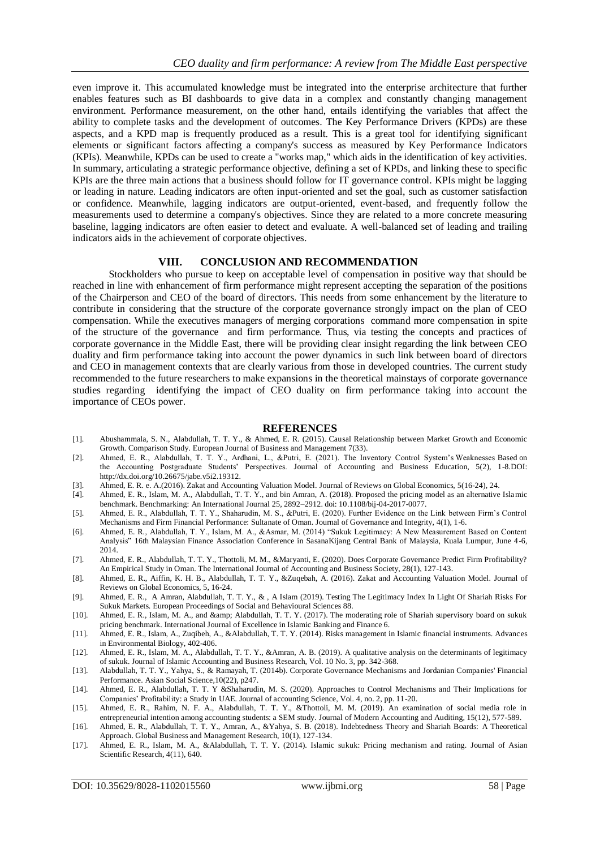even improve it. This accumulated knowledge must be integrated into the enterprise architecture that further enables features such as BI dashboards to give data in a complex and constantly changing management environment. Performance measurement, on the other hand, entails identifying the variables that affect the ability to complete tasks and the development of outcomes. The Key Performance Drivers (KPDs) are these aspects, and a KPD map is frequently produced as a result. This is a great tool for identifying significant elements or significant factors affecting a company's success as measured by Key Performance Indicators (KPIs). Meanwhile, KPDs can be used to create a "works map," which aids in the identification of key activities. In summary, articulating a strategic performance objective, defining a set of KPDs, and linking these to specific KPIs are the three main actions that a business should follow for IT governance control. KPIs might be lagging or leading in nature. Leading indicators are often input-oriented and set the goal, such as customer satisfaction or confidence. Meanwhile, lagging indicators are output-oriented, event-based, and frequently follow the measurements used to determine a company's objectives. Since they are related to a more concrete measuring baseline, lagging indicators are often easier to detect and evaluate. A well-balanced set of leading and trailing indicators aids in the achievement of corporate objectives.

#### **VIII. CONCLUSION AND RECOMMENDATION**

Stockholders who pursue to keep on acceptable level of compensation in positive way that should be reached in line with enhancement of firm performance might represent accepting the separation of the positions of the Chairperson and CEO of the board of directors. This needs from some enhancement by the literature to contribute in considering that the structure of the corporate governance strongly impact on the plan of CEO compensation. While the executives managers of merging corporations command more compensation in spite of the structure of the governance and firm performance. Thus, via testing the concepts and practices of corporate governance in the Middle East, there will be providing clear insight regarding the link between CEO duality and firm performance taking into account the power dynamics in such link between board of directors and CEO in management contexts that are clearly various from those in developed countries. The current study recommended to the future researchers to make expansions in the theoretical mainstays of corporate governance studies regarding identifying the impact of CEO duality on firm performance taking into account the importance of CEOs power.

#### **REFERENCES**

- [1]. Abushammala, S. N., Alabdullah, T. T. Y., & Ahmed, E. R. (2015). Causal Relationship between Market Growth and Economic Growth. Comparison Study. European Journal of Business and Management 7(33).
- [2]. Ahmed, E. R., Alabdullah, T. T. Y., Ardhani, L., &Putri, E. (2021). The Inventory Control System's Weaknesses Based on the Accounting Postgraduate Students' Perspectives. Journal of Accounting and Business Education, 5(2), 1-8.DOI: http://dx.doi.org/10.26675/jabe.v5i2.19312.
- [3]. Ahmed, E. R. e. A.(2016). Zakat and Accounting Valuation Model. Journal of Reviews on Global Economics, 5(16-24), 24.
- [4]. Ahmed, E. R., Islam, M. A., Alabdullah, T. T. Y., and bin Amran, A. (2018). Proposed the pricing model as an alternative Islamic benchmark. Benchmarking: An International Journal 25, 2892–2912. doi: 10.1108/bij-04-2017-0077.
- [5]. Ahmed, E. R., Alabdullah, T. T. Y., Shaharudin, M. S., &Putri, E. (2020). Further Evidence on the Link between Firm's Control Mechanisms and Firm Financial Performance: Sultanate of Oman. Journal of Governance and Integrity, 4(1), 1-6.
- [6]. Ahmed, E. R., Alabdullah, T. Y., Islam, M. A., &Asmar, M. (2014) "Sukuk Legitimacy: A New Measurement Based on Content Analysis" 16th Malaysian Finance Association Conference in SasanaKijang Central Bank of Malaysia, Kuala Lumpur, June 4-6, 2014.
- [7]. Ahmed, E. R., Alabdullah, T. T. Y., Thottoli, M. M., &Maryanti, E. (2020). Does Corporate Governance Predict Firm Profitability? An Empirical Study in Oman. The International Journal of Accounting and Business Society, 28(1), 127-143.
- [8]. Ahmed, E. R., Aiffin, K. H. B., Alabdullah, T. T. Y., &Zuqebah, A. (2016). Zakat and Accounting Valuation Model. Journal of Reviews on Global Economics, 5, 16-24.
- [9]. Ahmed, E. R., A Amran, Alabdullah, T. T. Y., & , A Islam (2019). Testing The Legitimacy Index In Light Of Shariah Risks For Sukuk Markets. European Proceedings of Social and Behavioural Sciences 88.
- [10]. Ahmed, E. R., Islam, M. A., and & amp; Alabdullah, T. T. Y. (2017). The moderating role of Shariah supervisory board on sukuk pricing benchmark. International Journal of Excellence in Islamic Banking and Finance 6.
- [11]. Ahmed, E. R., Islam, A., Zuqibeh, A., &Alabdullah, T. T. Y. (2014). Risks management in Islamic financial instruments. Advances in Environmental Biology, 402-406.
- [12]. Ahmed, E. R., Islam, M. A., Alabdullah, T. T. Y., &Amran, A. B. (2019). A qualitative analysis on the determinants of legitimacy of sukuk. Journal of Islamic Accounting and Business Research, Vol. 10 No. 3, pp. 342-368.
- [13]. Alabdullah, T. T. Y., Yahya, S., & Ramayah, T. (2014b). Corporate Governance Mechanisms and Jordanian Companies' Financial Performance. Asian Social Science,10(22), p247.
- [14]. Ahmed, E. R., Alabdullah, T. T. Y &Shaharudin, M. S. (2020). Approaches to Control Mechanisms and Their Implications for Companies' Profitability: a Study in UAE. Journal of accounting Science, Vol. 4, no. 2, pp. 11-20.
- [15]. Ahmed, E. R., Rahim, N. F. A., Alabdullah, T. T. Y., &Thottoli, M. M. (2019). An examination of social media role in entrepreneurial intention among accounting students: a SEM study. Journal of Modern Accounting and Auditing, 15(12), 577-589.
- [16]. Ahmed, E. R., Alabdullah, T. T. Y., Amran, A., &Yahya, S. B. (2018). Indebtedness Theory and Shariah Boards: A Theoretical Approach. Global Business and Management Research, 10(1), 127-134.
- [17]. Ahmed, E. R., Islam, M. A., &Alabdullah, T. T. Y. (2014). Islamic sukuk: Pricing mechanism and rating. Journal of Asian Scientific Research, 4(11), 640.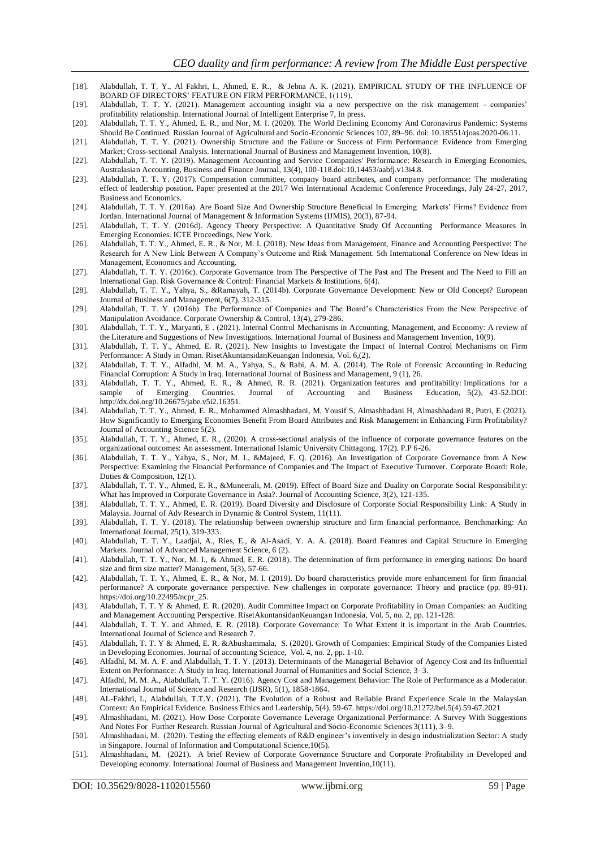- [18]. Alabdullah, T. T. Y., Al Fakhri, I., Ahmed, E. R., & Jebna A. K. (2021). EMPIRICAL STUDY OF THE INFLUENCE OF BOARD OF DIRECTORS' FEATURE ON FIRM PERFORMANCE, 1(119).
- [19]. Alabdullah, T. T. Y. (2021). Management accounting insight via a new perspective on the risk management companies' profitability relationship. International Journal of Intelligent Enterprise 7, In press.
- [20]. Alabdullah, T. T. Y., Ahmed, E. R., and Nor, M. I. (2020). The World Declining Economy And Coronavirus Pandemic: Systems Should Be Continued. Russian Journal of Agricultural and Socio-Economic Sciences 102, 89–96. doi: 10.18551/rjoas.2020-06.11.
- [21]. Alabdullah, T. T. Y. (2021). Ownership Structure and the Failure or Success of Firm Performance: Evidence from Emerging Market; Cross-sectional Analysis. International Journal of Business and Management Invention, 10(8).
- [22]. Alabdullah, T. T. Y. (2019). Management Accounting and Service Companies' Performance: Research in Emerging Economies, Australasian Accounting, Business and Finance Journal, 13(4), 100-118.doi:10.14453/aabfj.v13i4.8.
- [23]. Alabdullah, T. T. Y. (2017). Compensation committee, company board attributes, and company performance: The moderating effect of leadership position. Paper presented at the 2017 Wei International Academic Conference Proceedings, July 24 -27, 2017, Business and Economics.
- [24]. Alabdullah, T. T. Y. (2016a). Are Board Size And Ownership Structure Beneficial In Emerging Markets' Firms? Evidence from Jordan. International Journal of Management & Information Systems (IJMIS), 20(3), 87-94.
- [25]. Alabdullah, T. T. Y. (2016d). Agency Theory Perspective: A Quantitative Study Of Accounting Performance Measures In Emerging Economies. ICTE Proceedings, New York.
- [26]. Alabdullah, T. T. Y., Ahmed, E. R., & Nor, M. I. (2018). New Ideas from Management, Finance and Accounting Perspective: The Research for A New Link Between A Company's Outcome and Risk Management. 5th International Conference on New Ideas in Management, Economics and Accounting.
- [27]. Alabdullah, T. T. Y. (2016c). Corporate Governance from The Perspective of The Past and The Present and The Need to Fill an International Gap. Risk Governance & Control: Financial Markets & Institutions, 6(4).
- [28]. Alabdullah, T. T. Y., Yahya, S., &Ramayah, T. (2014b). Corporate Governance Development: New or Old Concept? European Journal of Business and Management, 6(7), 312-315.
- [29]. Alabdullah, T. T. Y. (2016b). The Performance of Companies and The Board's Characteristics From the New Perspective of Manipulation Avoidance. Corporate Ownership & Control, 13(4), 279-286.
- [30]. Alabdullah, T. T. Y., Maryanti, E . (2021). Internal Control Mechanisms in Accounting, Management, and Economy: A review of the Literature and Suggestions of New Investigations. International Journal of Business and Management Invention, 10(9).
- [31]. Alabdullah, T. T. Y., Ahmed, E. R. (2021). New Insights to Investigate the Impact of Internal Control Mechanisms on Firm Performance: A Study in Oman. RisetAkuntansidanKeuangan Indonesia, Vol. 6,(2).
- [32]. Alabdullah, T. T. Y., Alfadhl, M. M. A., Yahya, S., & Rabi, A. M. A. (2014). The Role of Forensic Accounting in Reducing Financial Corruption: A Study in Iraq. International Journal of Business and Management, 9 (1), 26.
- [33]. Alabdullah, T. T. Y., Ahmed, E. R., & Ahmed, R. R. (2021). Organization features and profitability: Implications for a sample of Emerging Countries. Journal of Accounting and Business Education, 5(2), 43-52.DOI: http://dx.doi.org/10.26675/jabe.v5i2.16351.
- [34]. Alabdullah, T. T. Y., Ahmed, E. R., Mohammed Almashhadani, M, Yousif S, Almashhadani H, Almashhadani R, Putri, E (2021). How Significantly to Emerging Economies Benefit From Board Attributes and Risk Management in Enhancing Firm Profitability? Journal of Accounting Science 5(2).
- [35]. Alabdullah, T. T. Y., Ahmed, E. R., (2020). A cross-sectional analysis of the influence of corporate governance features on the organizational outcomes: An assessment. International Islamic University Chittagong. 17(2). P.P 6-26.
- [36]. Alabdullah, T. T. Y., Yahya, S., Nor, M. I., &Majeed, F. Q. (2016). An Investigation of Corporate Governance from A New Perspective: Examining the Financial Performance of Companies and The Impact of Executive Turnover. Corporate Board: Role, Duties & Composition, 12(1).
- [37]. Alabdullah, T. T. Y., Ahmed, E. R., &Muneerali, M. (2019). Effect of Board Size and Duality on Corporate Social Responsibility: What has Improved in Corporate Governance in Asia?. Journal of Accounting Science, 3(2), 121-135.
- [38]. Alabdullah, T. T. Y., Ahmed, E. R. (2019). Board Diversity and Disclosure of Corporate Social Responsibility Link: A Study in Malaysia. Journal of Adv Research in Dynamic & Control System, 11(11).
- [39]. Alabdullah, T. T. Y. (2018). The relationship between ownership structure and firm financial performance. Benchmarking: An International Journal, 25(1), 319-333.
- [40]. Alabdullah, T. T. Y., Laadjal, A., Ries, E., & Al-Asadi, Y. A. A. (2018). Board Features and Capital Structure in Emerging Markets. Journal of Advanced Management Science, 6 (2).
- [41]. Alabdullah, T. T. Y., Nor, M. I., & Ahmed, E. R. (2018). The determination of firm performance in emerging nations: Do board size and firm size matter? Management, 5(3), 57-66.
- [42]. Alabdullah, T. T. Y., Ahmed, E. R., & Nor, M. I. (2019). Do board characteristics provide more enhancement for firm financial performance? A corporate governance perspective. New challenges in corporate governance: Theory and practice (pp. 89-91). https://doi.org/10.22495/ncpr\_25.
- [43]. Alabdullah, T. T. Y & Ahmed, E. R. (2020). Audit Committee Impact on Corporate Profitability in Oman Companies: an Auditing and Management Accounting Perspective. RisetAkuntansidanKeuangan Indonesia, Vol. 5, no. 2, pp. 121-128.
- [44]. Alabdullah, T. T. Y. and Ahmed, E. R. (2018). Corporate Governance: To What Extent it is important in the Arab Countries. International Journal of Science and Research 7.
- [45]. Alabdullah, T. T. Y & Ahmed, E. R. &Abushammala, S. (2020). Growth of Companies: Empirical Study of the Companies Listed in Developing Economies. Journal of accounting Science, Vol. 4, no. 2, pp. 1-10.
- [46]. Alfadhl, M. M. A. F. and Alabdullah, T. T. Y. (2013). Determinants of the Managerial Behavior of Agency Cost and Its Influential Extent on Performance: A Study in Iraq. International Journal of Humanities and Social Science, 3–3.
- [47]. Alfadhl, M. M. A., Alabdullah, T. T. Y. (2016). Agency Cost and Management Behavior: The Role of Performance as a Moderator. International Journal of Science and Research (IJSR), 5(1), 1858-1864.
- [48]. AL-Fakhri, I., Alabdullah, T.T.Y. (2021). The Evolution of a Robust and Reliable Brand Experience Scale in the Malaysian Context: An Empirical Evidence. Business Ethics and Leadership, 5(4), 59-67. [https://doi.org/10.21272/bel.5\(4\).59-67.2021](https://doi.org/10.21272/bel.5(4).59-67.2021)
- [49]. Almashhadani, M. (2021). How Dose Corporate Governance Leverage Organizational Performance: A Survey With Suggestions And Notes For Further Research. Russian Journal of Agricultural and Socio-Economic Sciences 3(111), 3–9.
- [50]. Almashhadani, M. (2020). Testing the effecting elements of R&D engineer's inventively in design industrialization Sector: A study in Singapore. Journal of Information and Computational Science,10(5).
- [51]. Almashhadani, M. (2021). A brief Review of Corporate Governance Structure and Corporate Profitability in Developed and Developing economy. International Journal of Business and Management Invention,10(11).